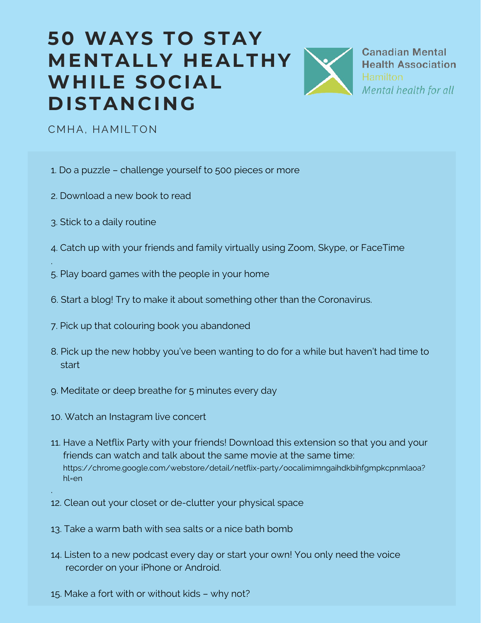

**Canadian Mental Health Association** Mental health for all

CMHA, HAMILTON

- 1. Do a puzzle challenge yourself to 500 pieces or more
- 2. Download a new book to read
- 3. Stick to a daily routine

.

.

- 4. Catch up with your friends and family virtually using Zoom, Skype, or FaceTime
- 5. Play board games with the people in your home
- 6. Start a blog! Try to make it about something other than the Coronavirus.
- 7. Pick up that colouring book you abandoned
- 8. Pick up the new hobby you've been wanting to do for a while but haven't had time to start
- 9. Meditate or deep breathe for 5 minutes every day
- 10. Watch an Instagram live concert
- 11. Have a Netflix Party with your friends! Download this extension so that you and your friends can watch and talk about the same movie at the same time: https://chrome.google.com/webstore/detail/netflix-party/oocalimimngaihdkbihfgmpkcpnmlaoa? hl=en
- 12. Clean out your closet or de-clutter your physical space
- 13. Take a warm bath with sea salts or a nice bath bomb
- 14. Listen to a new podcast every day or start your own! You only need the voice recorder on your iPhone or Android.
- 15. Make a fort with or without kids why not?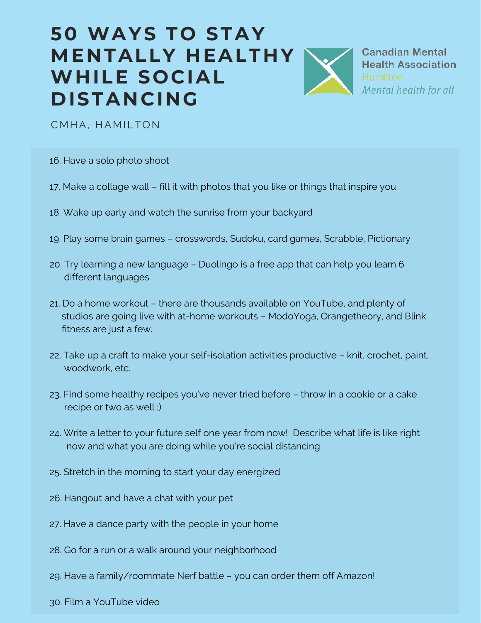

**Canadian Mental Health Association** Mental health for all

CMHA, HAMILTON

- 16. Have a solo photo shoot
- 17. Make a collage wall fill it with photos that you like or things that inspire you
- 18. Wake up early and watch the sunrise from your backyard
- 19. Play some brain games crosswords, Sudoku, card games, Scrabble, Pictionary
- 20. Try learning a new language Duolingo is a free app that can help you learn 6 different languages
- 21. Do a home workout there are thousands available on YouTube, and plenty of studios are going live with at-home workouts – ModoYoga, Orangetheory, and Blink fitness are just a few.
- 22. Take up a craft to make your self-isolation activities productive knit, crochet, paint, woodwork, etc.
- 23. Find some healthy recipes you've never tried before throw in a cookie or a cake recipe or two as well ;)
- 24. Write a letter to your future self one year from now! Describe what life is like right now and what you are doing while you're social distancing
- 25. Stretch in the morning to start your day energized
- 26. Hangout and have a chat with your pet
- 27. Have a dance party with the people in your home
- 28. Go for a run or a walk around your neighborhood
- 29. Have a family/roommate Nerf battle you can order them off Amazon!
- 30. Film a YouTube video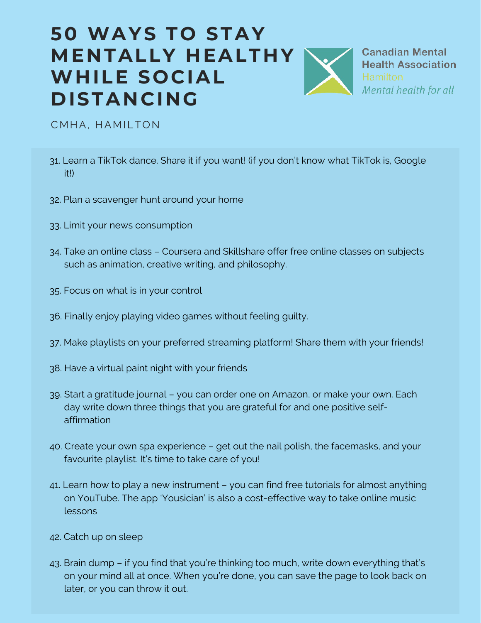**Canadian Mental Health Association** Mental health for all

CMHA, HAMILTON

- 31. Learn a TikTok dance. Share it if you want! (if you don't know what TikTok is, Google it!)
- 32. Plan a scavenger hunt around your home
- 33. Limit your news consumption
- 34. Take an online class Coursera and Skillshare offer free online classes on subjects such as animation, creative writing, and philosophy.
- 35. Focus on what is in your control
- 36. Finally enjoy playing video games without feeling guilty.
- 37. Make playlists on your preferred streaming platform! Share them with your friends!
- 38. Have a virtual paint night with your friends
- 39. Start a gratitude journal you can order one on Amazon, or make your own. Each day write down three things that you are grateful for and one positive selfaffirmation
- 40. Create your own spa experience get out the nail polish, the facemasks, and your favourite playlist. It's time to take care of you!
- 41. Learn how to play a new instrument you can find free tutorials for almost anything on YouTube. The app 'Yousician' is also a cost-effective way to take online music lessons
- 42. Catch up on sleep
- 43. Brain dump if you find that you're thinking too much, write down everything that's on your mind all at once. When you're done, you can save the page to look back on later, or you can throw it out.